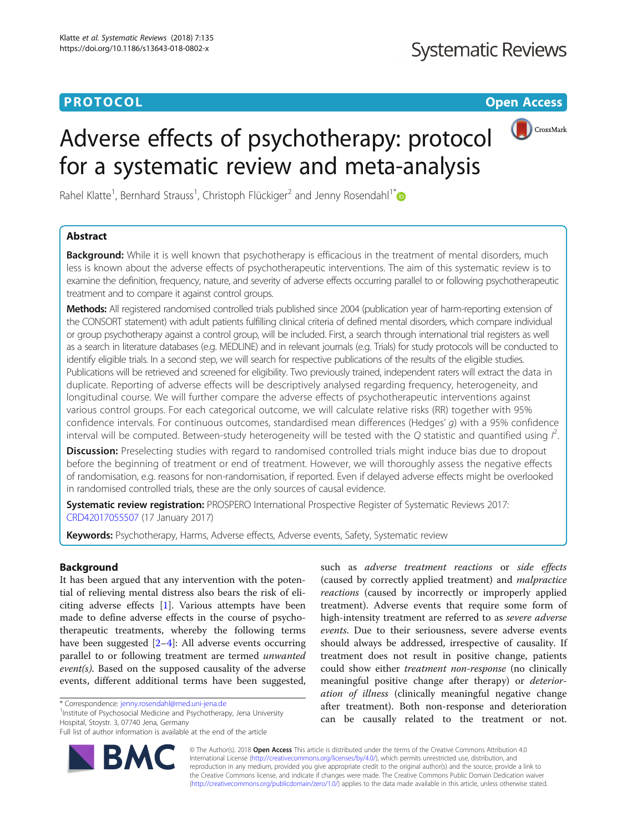## **PROTOCOL CONSUMING THE OPEN ACCESS**

CrossMark

# Adverse effects of psychotherapy: protocol for a systematic review and meta-analysis

Rahel Klatte<sup>1</sup>, Bernhard Strauss<sup>1</sup>, Christoph Flückiger<sup>2</sup> and Jenny Rosendahl<sup>1\*</sup>

## Abstract

**Background:** While it is well known that psychotherapy is efficacious in the treatment of mental disorders, much less is known about the adverse effects of psychotherapeutic interventions. The aim of this systematic review is to examine the definition, frequency, nature, and severity of adverse effects occurring parallel to or following psychotherapeutic treatment and to compare it against control groups.

Methods: All registered randomised controlled trials published since 2004 (publication year of harm-reporting extension of the CONSORT statement) with adult patients fulfilling clinical criteria of defined mental disorders, which compare individual or group psychotherapy against a control group, will be included. First, a search through international trial registers as well as a search in literature databases (e.g. MEDLINE) and in relevant journals (e.g. Trials) for study protocols will be conducted to identify eligible trials. In a second step, we will search for respective publications of the results of the eligible studies. Publications will be retrieved and screened for eligibility. Two previously trained, independent raters will extract the data in duplicate. Reporting of adverse effects will be descriptively analysed regarding frequency, heterogeneity, and longitudinal course. We will further compare the adverse effects of psychotherapeutic interventions against various control groups. For each categorical outcome, we will calculate relative risks (RR) together with 95% confidence intervals. For continuous outcomes, standardised mean differences (Hedges' g) with a 95% confidence interval will be computed. Between-study heterogeneity will be tested with the Q statistic and quantified using  $I^2$ .

**Discussion:** Preselecting studies with regard to randomised controlled trials might induce bias due to dropout before the beginning of treatment or end of treatment. However, we will thoroughly assess the negative effects of randomisation, e.g. reasons for non-randomisation, if reported. Even if delayed adverse effects might be overlooked in randomised controlled trials, these are the only sources of causal evidence.

**Systematic review registration:** PROSPERO International Prospective Register of Systematic Reviews 2017: [CRD42017055507](http://www.crd.york.ac.uk/PROSPERO/display_record.php?ID=CRD42017055507) (17 January 2017)

Keywords: Psychotherapy, Harms, Adverse effects, Adverse events, Safety, Systematic review

## Background

It has been argued that any intervention with the potential of relieving mental distress also bears the risk of eliciting adverse effects [[1\]](#page-5-0). Various attempts have been made to define adverse effects in the course of psychotherapeutic treatments, whereby the following terms have been suggested  $[2-4]$  $[2-4]$  $[2-4]$  $[2-4]$  $[2-4]$ : All adverse events occurring parallel to or following treatment are termed unwanted event(s). Based on the supposed causality of the adverse events, different additional terms have been suggested,

<sup>1</sup> Institute of Psychosocial Medicine and Psychotherapy, Jena University Hospital, Stoystr. 3, 07740 Jena, Germany

Full list of author information is available at the end of the article



such as adverse treatment reactions or side effects (caused by correctly applied treatment) and malpractice reactions (caused by incorrectly or improperly applied treatment). Adverse events that require some form of high-intensity treatment are referred to as severe adverse events. Due to their seriousness, severe adverse events should always be addressed, irrespective of causality. If treatment does not result in positive change, patients could show either treatment non-response (no clinically meaningful positive change after therapy) or deterioration of illness (clinically meaningful negative change after treatment). Both non-response and deterioration can be causally related to the treatment or not.

© The Author(s). 2018 Open Access This article is distributed under the terms of the Creative Commons Attribution 4.0 International License [\(http://creativecommons.org/licenses/by/4.0/](http://creativecommons.org/licenses/by/4.0/)), which permits unrestricted use, distribution, and reproduction in any medium, provided you give appropriate credit to the original author(s) and the source, provide a link to the Creative Commons license, and indicate if changes were made. The Creative Commons Public Domain Dedication waiver [\(http://creativecommons.org/publicdomain/zero/1.0/](http://creativecommons.org/publicdomain/zero/1.0/)) applies to the data made available in this article, unless otherwise stated.

<sup>\*</sup> Correspondence: [jenny.rosendahl@med.uni-jena.de](mailto:jenny.rosendahl@med.uni-jena.de) <sup>1</sup>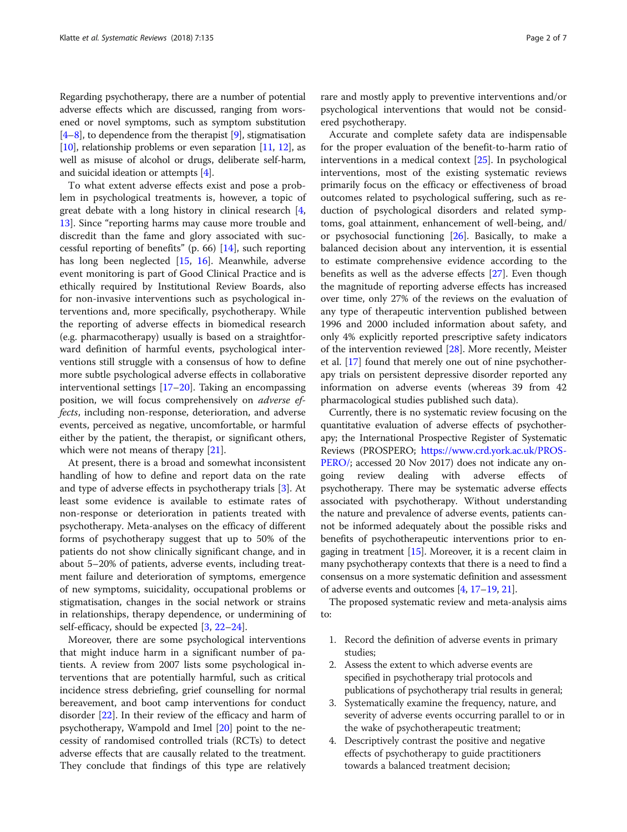Regarding psychotherapy, there are a number of potential adverse effects which are discussed, ranging from worsened or novel symptoms, such as symptom substitution  $[4–8]$  $[4–8]$  $[4–8]$  $[4–8]$  $[4–8]$ , to dependence from the therapist  $[9]$ , stigmatisation [[10](#page-5-0)], relationship problems or even separation [[11](#page-6-0), [12\]](#page-6-0), as well as misuse of alcohol or drugs, deliberate self-harm, and suicidal ideation or attempts [\[4](#page-5-0)].

To what extent adverse effects exist and pose a problem in psychological treatments is, however, a topic of great debate with a long history in clinical research [\[4](#page-5-0), [13\]](#page-6-0). Since "reporting harms may cause more trouble and discredit than the fame and glory associated with successful reporting of benefits" (p. 66) [\[14\]](#page-6-0), such reporting has long been neglected [\[15](#page-6-0), [16](#page-6-0)]. Meanwhile, adverse event monitoring is part of Good Clinical Practice and is ethically required by Institutional Review Boards, also for non-invasive interventions such as psychological interventions and, more specifically, psychotherapy. While the reporting of adverse effects in biomedical research (e.g. pharmacotherapy) usually is based on a straightforward definition of harmful events, psychological interventions still struggle with a consensus of how to define more subtle psychological adverse effects in collaborative interventional settings  $[17–20]$  $[17–20]$  $[17–20]$  $[17–20]$  $[17–20]$ . Taking an encompassing position, we will focus comprehensively on adverse effects, including non-response, deterioration, and adverse events, perceived as negative, uncomfortable, or harmful either by the patient, the therapist, or significant others, which were not means of therapy [[21\]](#page-6-0).

At present, there is a broad and somewhat inconsistent handling of how to define and report data on the rate and type of adverse effects in psychotherapy trials [\[3](#page-5-0)]. At least some evidence is available to estimate rates of non-response or deterioration in patients treated with psychotherapy. Meta-analyses on the efficacy of different forms of psychotherapy suggest that up to 50% of the patients do not show clinically significant change, and in about 5–20% of patients, adverse events, including treatment failure and deterioration of symptoms, emergence of new symptoms, suicidality, occupational problems or stigmatisation, changes in the social network or strains in relationships, therapy dependence, or undermining of self-efficacy, should be expected [\[3](#page-5-0), [22](#page-6-0)–[24\]](#page-6-0).

Moreover, there are some psychological interventions that might induce harm in a significant number of patients. A review from 2007 lists some psychological interventions that are potentially harmful, such as critical incidence stress debriefing, grief counselling for normal bereavement, and boot camp interventions for conduct disorder [[22\]](#page-6-0). In their review of the efficacy and harm of psychotherapy, Wampold and Imel [\[20\]](#page-6-0) point to the necessity of randomised controlled trials (RCTs) to detect adverse effects that are causally related to the treatment. They conclude that findings of this type are relatively

rare and mostly apply to preventive interventions and/or psychological interventions that would not be considered psychotherapy.

Accurate and complete safety data are indispensable for the proper evaluation of the benefit-to-harm ratio of interventions in a medical context [\[25](#page-6-0)]. In psychological interventions, most of the existing systematic reviews primarily focus on the efficacy or effectiveness of broad outcomes related to psychological suffering, such as reduction of psychological disorders and related symptoms, goal attainment, enhancement of well-being, and/ or psychosocial functioning [[26](#page-6-0)]. Basically, to make a balanced decision about any intervention, it is essential to estimate comprehensive evidence according to the benefits as well as the adverse effects [[27](#page-6-0)]. Even though the magnitude of reporting adverse effects has increased over time, only 27% of the reviews on the evaluation of any type of therapeutic intervention published between 1996 and 2000 included information about safety, and only 4% explicitly reported prescriptive safety indicators of the intervention reviewed [[28](#page-6-0)]. More recently, Meister et al. [[17\]](#page-6-0) found that merely one out of nine psychotherapy trials on persistent depressive disorder reported any information on adverse events (whereas 39 from 42 pharmacological studies published such data).

Currently, there is no systematic review focusing on the quantitative evaluation of adverse effects of psychotherapy; the International Prospective Register of Systematic Reviews (PROSPERO; [https://www.crd.york.ac.uk/PROS-](https://www.crd.york.ac.uk/PROSPERO/)[PERO/;](https://www.crd.york.ac.uk/PROSPERO/) accessed 20 Nov 2017) does not indicate any ongoing review dealing with adverse effects of psychotherapy. There may be systematic adverse effects associated with psychotherapy. Without understanding the nature and prevalence of adverse events, patients cannot be informed adequately about the possible risks and benefits of psychotherapeutic interventions prior to engaging in treatment  $[15]$ . Moreover, it is a recent claim in many psychotherapy contexts that there is a need to find a consensus on a more systematic definition and assessment of adverse events and outcomes [\[4](#page-5-0), [17](#page-6-0)–[19](#page-6-0), [21](#page-6-0)].

The proposed systematic review and meta-analysis aims to:

- 1. Record the definition of adverse events in primary studies;
- 2. Assess the extent to which adverse events are specified in psychotherapy trial protocols and publications of psychotherapy trial results in general;
- 3. Systematically examine the frequency, nature, and severity of adverse events occurring parallel to or in the wake of psychotherapeutic treatment;
- 4. Descriptively contrast the positive and negative effects of psychotherapy to guide practitioners towards a balanced treatment decision;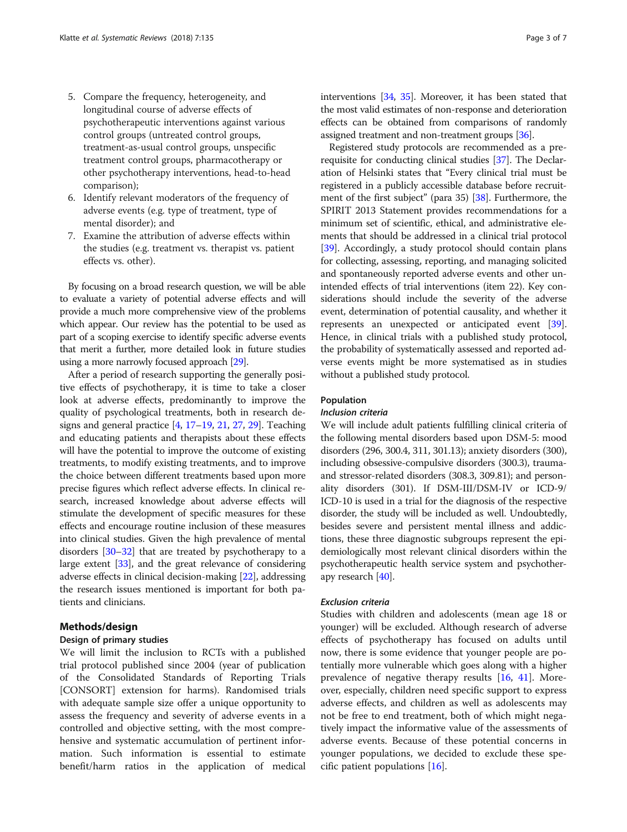- 5. Compare the frequency, heterogeneity, and longitudinal course of adverse effects of psychotherapeutic interventions against various control groups (untreated control groups, treatment-as-usual control groups, unspecific treatment control groups, pharmacotherapy or other psychotherapy interventions, head-to-head comparison);
- 6. Identify relevant moderators of the frequency of adverse events (e.g. type of treatment, type of mental disorder); and
- 7. Examine the attribution of adverse effects within the studies (e.g. treatment vs. therapist vs. patient effects vs. other).

By focusing on a broad research question, we will be able to evaluate a variety of potential adverse effects and will provide a much more comprehensive view of the problems which appear. Our review has the potential to be used as part of a scoping exercise to identify specific adverse events that merit a further, more detailed look in future studies using a more narrowly focused approach [[29](#page-6-0)].

After a period of research supporting the generally positive effects of psychotherapy, it is time to take a closer look at adverse effects, predominantly to improve the quality of psychological treatments, both in research designs and general practice [[4](#page-5-0), [17](#page-6-0)–[19](#page-6-0), [21](#page-6-0), [27,](#page-6-0) [29](#page-6-0)]. Teaching and educating patients and therapists about these effects will have the potential to improve the outcome of existing treatments, to modify existing treatments, and to improve the choice between different treatments based upon more precise figures which reflect adverse effects. In clinical research, increased knowledge about adverse effects will stimulate the development of specific measures for these effects and encourage routine inclusion of these measures into clinical studies. Given the high prevalence of mental disorders [\[30](#page-6-0)–[32](#page-6-0)] that are treated by psychotherapy to a large extent [\[33\]](#page-6-0), and the great relevance of considering adverse effects in clinical decision-making [[22](#page-6-0)], addressing the research issues mentioned is important for both patients and clinicians.

## Methods/design

#### Design of primary studies

We will limit the inclusion to RCTs with a published trial protocol published since 2004 (year of publication of the Consolidated Standards of Reporting Trials [CONSORT] extension for harms). Randomised trials with adequate sample size offer a unique opportunity to assess the frequency and severity of adverse events in a controlled and objective setting, with the most comprehensive and systematic accumulation of pertinent information. Such information is essential to estimate benefit/harm ratios in the application of medical interventions [\[34](#page-6-0), [35](#page-6-0)]. Moreover, it has been stated that the most valid estimates of non-response and deterioration effects can be obtained from comparisons of randomly assigned treatment and non-treatment groups [\[36\]](#page-6-0).

Registered study protocols are recommended as a prerequisite for conducting clinical studies [\[37](#page-6-0)]. The Declaration of Helsinki states that "Every clinical trial must be registered in a publicly accessible database before recruitment of the first subject" (para 35) [[38](#page-6-0)]. Furthermore, the SPIRIT 2013 Statement provides recommendations for a minimum set of scientific, ethical, and administrative elements that should be addressed in a clinical trial protocol [[39](#page-6-0)]. Accordingly, a study protocol should contain plans for collecting, assessing, reporting, and managing solicited and spontaneously reported adverse events and other unintended effects of trial interventions (item 22). Key considerations should include the severity of the adverse event, determination of potential causality, and whether it represents an unexpected or anticipated event [[39](#page-6-0)]. Hence, in clinical trials with a published study protocol, the probability of systematically assessed and reported adverse events might be more systematised as in studies without a published study protocol.

## Population

#### Inclusion criteria

We will include adult patients fulfilling clinical criteria of the following mental disorders based upon DSM-5: mood disorders (296, 300.4, 311, 301.13); anxiety disorders (300), including obsessive-compulsive disorders (300.3), traumaand stressor-related disorders (308.3, 309.81); and personality disorders (301). If DSM-III/DSM-IV or ICD-9/ ICD-10 is used in a trial for the diagnosis of the respective disorder, the study will be included as well. Undoubtedly, besides severe and persistent mental illness and addictions, these three diagnostic subgroups represent the epidemiologically most relevant clinical disorders within the psychotherapeutic health service system and psychotherapy research [\[40\]](#page-6-0).

## Exclusion criteria

Studies with children and adolescents (mean age 18 or younger) will be excluded. Although research of adverse effects of psychotherapy has focused on adults until now, there is some evidence that younger people are potentially more vulnerable which goes along with a higher prevalence of negative therapy results [\[16](#page-6-0), [41](#page-6-0)]. Moreover, especially, children need specific support to express adverse effects, and children as well as adolescents may not be free to end treatment, both of which might negatively impact the informative value of the assessments of adverse events. Because of these potential concerns in younger populations, we decided to exclude these specific patient populations [[16](#page-6-0)].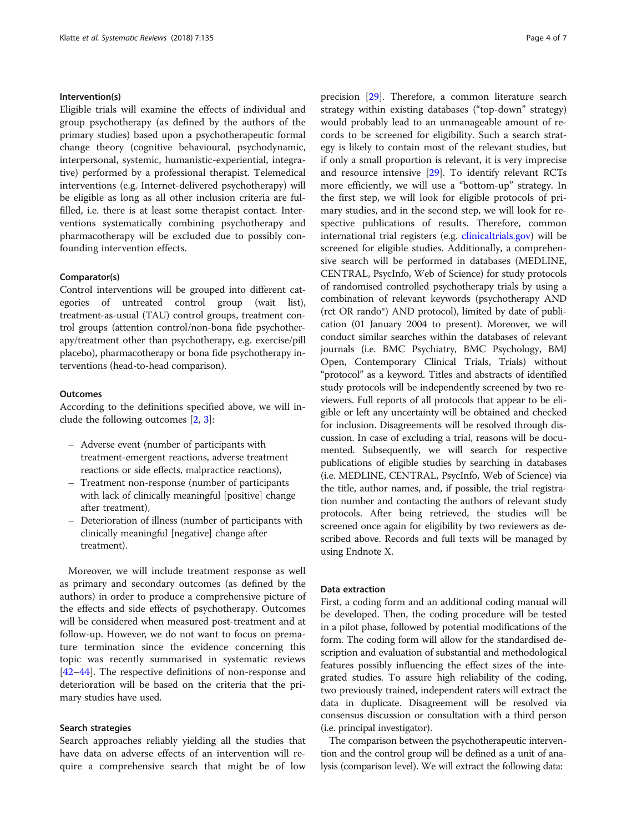## Intervention(s)

Eligible trials will examine the effects of individual and group psychotherapy (as defined by the authors of the primary studies) based upon a psychotherapeutic formal change theory (cognitive behavioural, psychodynamic, interpersonal, systemic, humanistic-experiential, integrative) performed by a professional therapist. Telemedical interventions (e.g. Internet-delivered psychotherapy) will be eligible as long as all other inclusion criteria are fulfilled, i.e. there is at least some therapist contact. Interventions systematically combining psychotherapy and pharmacotherapy will be excluded due to possibly confounding intervention effects.

## Comparator(s)

Control interventions will be grouped into different categories of untreated control group (wait list), treatment-as-usual (TAU) control groups, treatment control groups (attention control/non-bona fide psychotherapy/treatment other than psychotherapy, e.g. exercise/pill placebo), pharmacotherapy or bona fide psychotherapy interventions (head-to-head comparison).

## **Outcomes**

According to the definitions specified above, we will include the following outcomes [[2,](#page-5-0) [3](#page-5-0)]:

- Adverse event (number of participants with treatment-emergent reactions, adverse treatment reactions or side effects, malpractice reactions),
- Treatment non-response (number of participants with lack of clinically meaningful [positive] change after treatment),
- Deterioration of illness (number of participants with clinically meaningful [negative] change after treatment).

Moreover, we will include treatment response as well as primary and secondary outcomes (as defined by the authors) in order to produce a comprehensive picture of the effects and side effects of psychotherapy. Outcomes will be considered when measured post-treatment and at follow-up. However, we do not want to focus on premature termination since the evidence concerning this topic was recently summarised in systematic reviews [[42](#page-6-0)–[44](#page-6-0)]. The respective definitions of non-response and deterioration will be based on the criteria that the primary studies have used.

## Search strategies

Search approaches reliably yielding all the studies that have data on adverse effects of an intervention will require a comprehensive search that might be of low

precision [\[29](#page-6-0)]. Therefore, a common literature search strategy within existing databases ("top-down" strategy) would probably lead to an unmanageable amount of records to be screened for eligibility. Such a search strategy is likely to contain most of the relevant studies, but if only a small proportion is relevant, it is very imprecise and resource intensive [[29\]](#page-6-0). To identify relevant RCTs more efficiently, we will use a "bottom-up" strategy. In the first step, we will look for eligible protocols of primary studies, and in the second step, we will look for respective publications of results. Therefore, common international trial registers (e.g. [clinicaltrials.gov](http://clinicaltrials.gov)) will be screened for eligible studies. Additionally, a comprehensive search will be performed in databases (MEDLINE, CENTRAL, PsycInfo, Web of Science) for study protocols of randomised controlled psychotherapy trials by using a combination of relevant keywords (psychotherapy AND (rct OR rando\*) AND protocol), limited by date of publication (01 January 2004 to present). Moreover, we will conduct similar searches within the databases of relevant journals (i.e. BMC Psychiatry, BMC Psychology, BMJ Open, Contemporary Clinical Trials, Trials) without "protocol" as a keyword. Titles and abstracts of identified study protocols will be independently screened by two reviewers. Full reports of all protocols that appear to be eligible or left any uncertainty will be obtained and checked for inclusion. Disagreements will be resolved through discussion. In case of excluding a trial, reasons will be documented. Subsequently, we will search for respective publications of eligible studies by searching in databases (i.e. MEDLINE, CENTRAL, PsycInfo, Web of Science) via the title, author names, and, if possible, the trial registration number and contacting the authors of relevant study protocols. After being retrieved, the studies will be screened once again for eligibility by two reviewers as described above. Records and full texts will be managed by using Endnote X.

## Data extraction

First, a coding form and an additional coding manual will be developed. Then, the coding procedure will be tested in a pilot phase, followed by potential modifications of the form. The coding form will allow for the standardised description and evaluation of substantial and methodological features possibly influencing the effect sizes of the integrated studies. To assure high reliability of the coding, two previously trained, independent raters will extract the data in duplicate. Disagreement will be resolved via consensus discussion or consultation with a third person (i.e. principal investigator).

The comparison between the psychotherapeutic intervention and the control group will be defined as a unit of analysis (comparison level). We will extract the following data: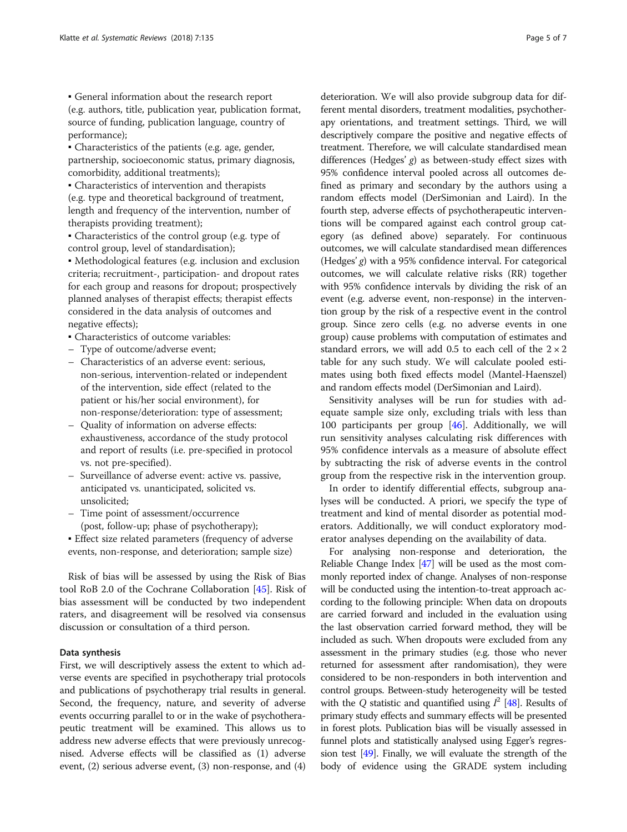▪ General information about the research report (e.g. authors, title, publication year, publication format, source of funding, publication language, country of performance);

▪ Characteristics of the patients (e.g. age, gender, partnership, socioeconomic status, primary diagnosis, comorbidity, additional treatments);

▪ Characteristics of intervention and therapists (e.g. type and theoretical background of treatment, length and frequency of the intervention, number of therapists providing treatment);

▪ Characteristics of the control group (e.g. type of control group, level of standardisation);

▪ Methodological features (e.g. inclusion and exclusion criteria; recruitment-, participation- and dropout rates for each group and reasons for dropout; prospectively planned analyses of therapist effects; therapist effects considered in the data analysis of outcomes and negative effects);

- Characteristics of outcome variables:
- Type of outcome/adverse event;
- Characteristics of an adverse event: serious, non-serious, intervention-related or independent of the intervention, side effect (related to the patient or his/her social environment), for non-response/deterioration: type of assessment;
- Quality of information on adverse effects: exhaustiveness, accordance of the study protocol and report of results (i.e. pre-specified in protocol vs. not pre-specified).
- Surveillance of adverse event: active vs. passive, anticipated vs. unanticipated, solicited vs. unsolicited;
- Time point of assessment/occurrence (post, follow-up; phase of psychotherapy);

▪ Effect size related parameters (frequency of adverse events, non-response, and deterioration; sample size)

Risk of bias will be assessed by using the Risk of Bias tool RoB 2.0 of the Cochrane Collaboration [[45](#page-6-0)]. Risk of bias assessment will be conducted by two independent raters, and disagreement will be resolved via consensus discussion or consultation of a third person.

## Data synthesis

First, we will descriptively assess the extent to which adverse events are specified in psychotherapy trial protocols and publications of psychotherapy trial results in general. Second, the frequency, nature, and severity of adverse events occurring parallel to or in the wake of psychotherapeutic treatment will be examined. This allows us to address new adverse effects that were previously unrecognised. Adverse effects will be classified as (1) adverse event, (2) serious adverse event, (3) non-response, and (4) deterioration. We will also provide subgroup data for different mental disorders, treatment modalities, psychotherapy orientations, and treatment settings. Third, we will descriptively compare the positive and negative effects of treatment. Therefore, we will calculate standardised mean differences (Hedges'  $g$ ) as between-study effect sizes with 95% confidence interval pooled across all outcomes defined as primary and secondary by the authors using a random effects model (DerSimonian and Laird). In the fourth step, adverse effects of psychotherapeutic interventions will be compared against each control group category (as defined above) separately. For continuous outcomes, we will calculate standardised mean differences (Hedges'  $g$ ) with a 95% confidence interval. For categorical outcomes, we will calculate relative risks (RR) together with 95% confidence intervals by dividing the risk of an event (e.g. adverse event, non-response) in the intervention group by the risk of a respective event in the control group. Since zero cells (e.g. no adverse events in one group) cause problems with computation of estimates and standard errors, we will add 0.5 to each cell of the  $2 \times 2$ table for any such study. We will calculate pooled estimates using both fixed effects model (Mantel-Haenszel) and random effects model (DerSimonian and Laird).

Sensitivity analyses will be run for studies with adequate sample size only, excluding trials with less than 100 participants per group [\[46](#page-6-0)]. Additionally, we will run sensitivity analyses calculating risk differences with 95% confidence intervals as a measure of absolute effect by subtracting the risk of adverse events in the control group from the respective risk in the intervention group.

In order to identify differential effects, subgroup analyses will be conducted. A priori, we specify the type of treatment and kind of mental disorder as potential moderators. Additionally, we will conduct exploratory moderator analyses depending on the availability of data.

For analysing non-response and deterioration, the Reliable Change Index [[47\]](#page-6-0) will be used as the most commonly reported index of change. Analyses of non-response will be conducted using the intention-to-treat approach according to the following principle: When data on dropouts are carried forward and included in the evaluation using the last observation carried forward method, they will be included as such. When dropouts were excluded from any assessment in the primary studies (e.g. those who never returned for assessment after randomisation), they were considered to be non-responders in both intervention and control groups. Between-study heterogeneity will be tested with the Q statistic and quantified using  $I^2$  [[48](#page-6-0)]. Results of primary study effects and summary effects will be presented in forest plots. Publication bias will be visually assessed in funnel plots and statistically analysed using Egger's regression test [\[49\]](#page-6-0). Finally, we will evaluate the strength of the body of evidence using the GRADE system including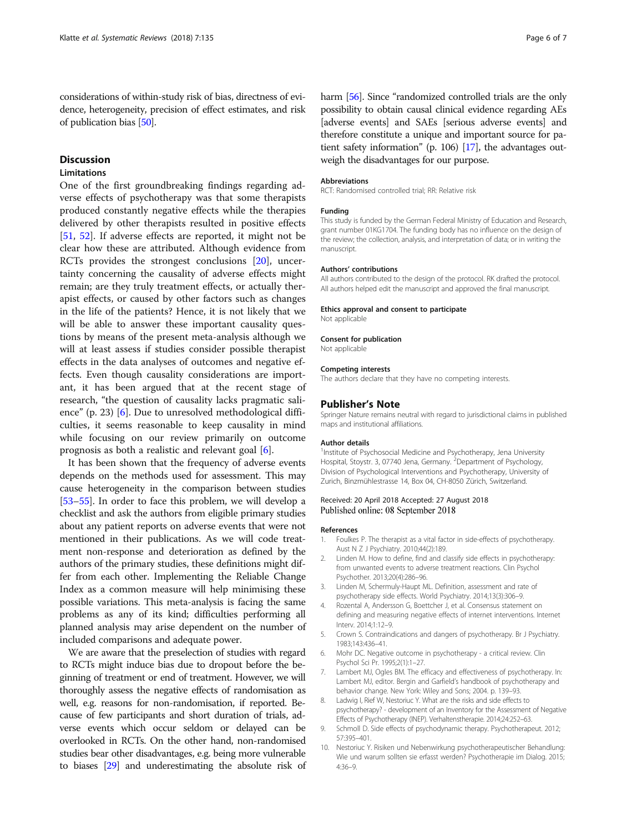<span id="page-5-0"></span>considerations of within-study risk of bias, directness of evidence, heterogeneity, precision of effect estimates, and risk of publication bias [\[50\]](#page-6-0).

## **Discussion**

## Limitations

One of the first groundbreaking findings regarding adverse effects of psychotherapy was that some therapists produced constantly negative effects while the therapies delivered by other therapists resulted in positive effects [[51,](#page-6-0) [52](#page-6-0)]. If adverse effects are reported, it might not be clear how these are attributed. Although evidence from RCTs provides the strongest conclusions [\[20\]](#page-6-0), uncertainty concerning the causality of adverse effects might remain; are they truly treatment effects, or actually therapist effects, or caused by other factors such as changes in the life of the patients? Hence, it is not likely that we will be able to answer these important causality questions by means of the present meta-analysis although we will at least assess if studies consider possible therapist effects in the data analyses of outcomes and negative effects. Even though causality considerations are important, it has been argued that at the recent stage of research, "the question of causality lacks pragmatic salience" (p. 23) [6]. Due to unresolved methodological difficulties, it seems reasonable to keep causality in mind while focusing on our review primarily on outcome prognosis as both a realistic and relevant goal [6].

It has been shown that the frequency of adverse events depends on the methods used for assessment. This may cause heterogeneity in the comparison between studies [[53](#page-6-0)–[55\]](#page-6-0). In order to face this problem, we will develop a checklist and ask the authors from eligible primary studies about any patient reports on adverse events that were not mentioned in their publications. As we will code treatment non-response and deterioration as defined by the authors of the primary studies, these definitions might differ from each other. Implementing the Reliable Change Index as a common measure will help minimising these possible variations. This meta-analysis is facing the same problems as any of its kind; difficulties performing all planned analysis may arise dependent on the number of included comparisons and adequate power.

We are aware that the preselection of studies with regard to RCTs might induce bias due to dropout before the beginning of treatment or end of treatment. However, we will thoroughly assess the negative effects of randomisation as well, e.g. reasons for non-randomisation, if reported. Because of few participants and short duration of trials, adverse events which occur seldom or delayed can be overlooked in RCTs. On the other hand, non-randomised studies bear other disadvantages, e.g. being more vulnerable to biases [\[29\]](#page-6-0) and underestimating the absolute risk of

harm [[56](#page-6-0)]. Since "randomized controlled trials are the only possibility to obtain causal clinical evidence regarding AEs [adverse events] and SAEs [serious adverse events] and therefore constitute a unique and important source for patient safety information" (p. 106) [\[17\]](#page-6-0), the advantages outweigh the disadvantages for our purpose.

#### Abbreviations

RCT: Randomised controlled trial; RR: Relative risk

#### Funding

This study is funded by the German Federal Ministry of Education and Research, grant number 01KG1704. The funding body has no influence on the design of the review; the collection, analysis, and interpretation of data; or in writing the manuscript.

## Authors' contributions

All authors contributed to the design of the protocol. RK drafted the protocol. All authors helped edit the manuscript and approved the final manuscript.

#### Ethics approval and consent to participate

Not applicable

#### Consent for publication

Not applicable

#### Competing interests

The authors declare that they have no competing interests.

#### Publisher's Note

Springer Nature remains neutral with regard to jurisdictional claims in published maps and institutional affiliations.

#### Author details

<sup>1</sup>Institute of Psychosocial Medicine and Psychotherapy, Jena University Hospital, Stoystr. 3, 07740 Jena, Germany. <sup>2</sup>Department of Psychology, Division of Psychological Interventions and Psychotherapy, University of Zurich, Binzmühlestrasse 14, Box 04, CH-8050 Zürich, Switzerland.

## Received: 20 April 2018 Accepted: 27 August 2018 Published online: 08 September 2018

#### References

- 1. Foulkes P. The therapist as a vital factor in side-effects of psychotherapy. Aust N Z J Psychiatry. 2010;44(2):189.
- 2. Linden M. How to define, find and classify side effects in psychotherapy: from unwanted events to adverse treatment reactions. Clin Psychol Psychother. 2013;20(4):286–96.
- 3. Linden M, Schermuly-Haupt ML. Definition, assessment and rate of psychotherapy side effects. World Psychiatry. 2014;13(3):306–9.
- 4. Rozental A, Andersson G, Boettcher J, et al. Consensus statement on defining and measuring negative effects of internet interventions. Internet Interv. 2014;1:12–9.
- 5. Crown S. Contraindications and dangers of psychotherapy. Br J Psychiatry. 1983;143:436–41.
- 6. Mohr DC. Negative outcome in psychotherapy a critical review. Clin Psychol Sci Pr. 1995;2(1):1–27.
- 7. Lambert MJ, Ogles BM. The efficacy and effectiveness of psychotherapy. In: Lambert MJ, editor. Bergin and Garfield's handbook of psychotherapy and behavior change. New York: Wiley and Sons; 2004. p. 139–93.
- 8. Ladwig I, Rief W, Nestoriuc Y. What are the risks and side effects to psychotherapy? - development of an Inventory for the Assessment of Negative Effects of Psychotherapy (INEP). Verhaltenstherapie. 2014;24:252–63.
- 9. Schmoll D. Side effects of psychodynamic therapy. Psychotherapeut. 2012; 57:395–401.
- 10. Nestoriuc Y. Risiken und Nebenwirkung psychotherapeutischer Behandlung: Wie und warum sollten sie erfasst werden? Psychotherapie im Dialog. 2015; 4:36–9.